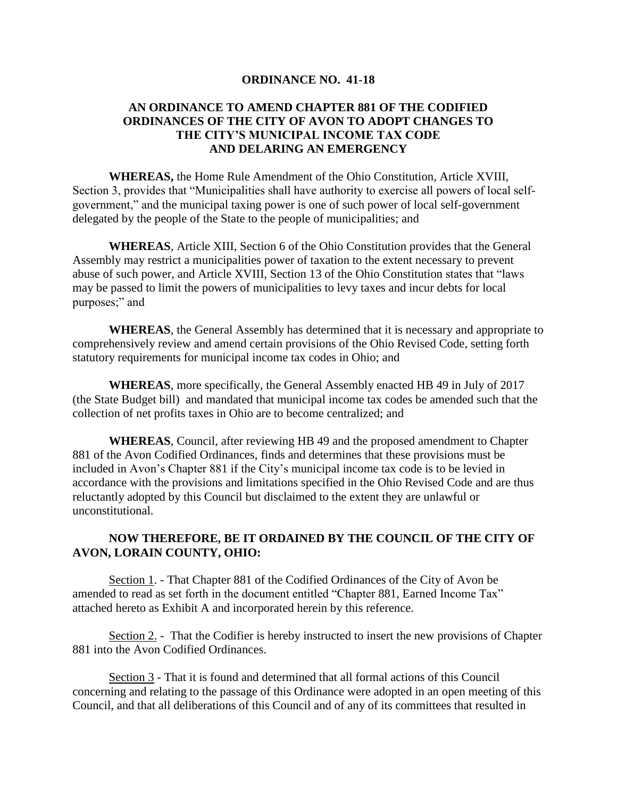## **ORDINANCE NO. 41-18**

## **AN ORDINANCE TO AMEND CHAPTER 881 OF THE CODIFIED ORDINANCES OF THE CITY OF AVON TO ADOPT CHANGES TO THE CITY'S MUNICIPAL INCOME TAX CODE AND DELARING AN EMERGENCY**

**WHEREAS,** the Home Rule Amendment of the Ohio Constitution, Article XVIII, Section 3, provides that "Municipalities shall have authority to exercise all powers of local selfgovernment," and the municipal taxing power is one of such power of local self-government delegated by the people of the State to the people of municipalities; and

**WHEREAS**, Article XIII, Section 6 of the Ohio Constitution provides that the General Assembly may restrict a municipalities power of taxation to the extent necessary to prevent abuse of such power, and Article XVIII, Section 13 of the Ohio Constitution states that "laws may be passed to limit the powers of municipalities to levy taxes and incur debts for local purposes;" and

**WHEREAS**, the General Assembly has determined that it is necessary and appropriate to comprehensively review and amend certain provisions of the Ohio Revised Code, setting forth statutory requirements for municipal income tax codes in Ohio; and

**WHEREAS**, more specifically, the General Assembly enacted HB 49 in July of 2017 (the State Budget bill) and mandated that municipal income tax codes be amended such that the collection of net profits taxes in Ohio are to become centralized; and

**WHEREAS**, Council, after reviewing HB 49 and the proposed amendment to Chapter 881 of the Avon Codified Ordinances, finds and determines that these provisions must be included in Avon's Chapter 881 if the City's municipal income tax code is to be levied in accordance with the provisions and limitations specified in the Ohio Revised Code and are thus reluctantly adopted by this Council but disclaimed to the extent they are unlawful or unconstitutional.

## **NOW THEREFORE, BE IT ORDAINED BY THE COUNCIL OF THE CITY OF AVON, LORAIN COUNTY, OHIO:**

Section 1. - That Chapter 881 of the Codified Ordinances of the City of Avon be amended to read as set forth in the document entitled "Chapter 881, Earned Income Tax" attached hereto as Exhibit A and incorporated herein by this reference.

Section 2. - That the Codifier is hereby instructed to insert the new provisions of Chapter 881 into the Avon Codified Ordinances.

Section 3 - That it is found and determined that all formal actions of this Council concerning and relating to the passage of this Ordinance were adopted in an open meeting of this Council, and that all deliberations of this Council and of any of its committees that resulted in